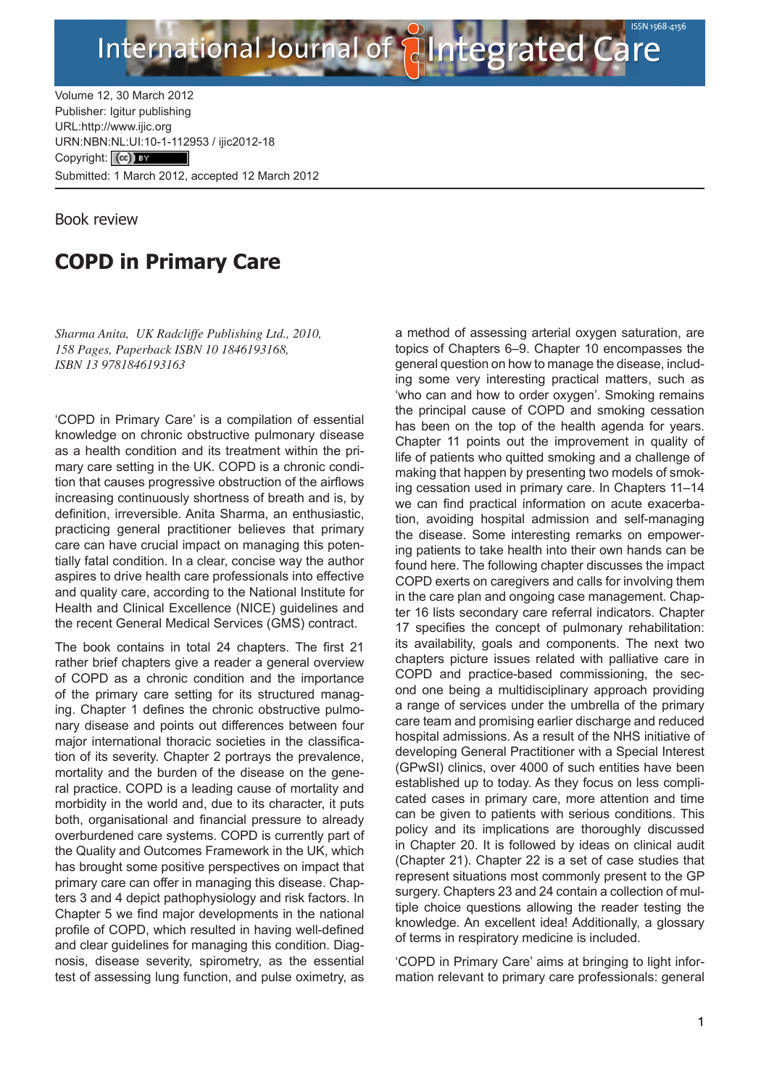

Volume 12, 30 March 2012 Publisher: Igitur publishing [URL:http://www.ijic.org](http://www.ijic.org) URN:NBN[:NL:UI:10-1-1129](http://creativecommons.org/licenses/by/3.0/)53 / ijic2012-18 Copyright: (cc) Tax Submitted: 1 March 2012, accepted 12 March 2012

Book review

## **COPD in Primary Care**

*Sharma Anita, UK Radcliffe Publishing Ltd., 2010, 158 Pages, Paperback ISBN 10 1846193168, ISBN 13 9781846193163*

'COPD in Primary Care' is a compilation of essential knowledge on chronic obstructive pulmonary disease as a health condition and its treatment within the primary care setting in the UK. COPD is a chronic condition that causes progressive obstruction of the airflows increasing continuously shortness of breath and is, by definition, irreversible. Anita Sharma, an enthusiastic, practicing general practitioner believes that primary care can have crucial impact on managing this potentially fatal condition. In a clear, concise way the author aspires to drive health care professionals into effective and quality care, according to the National Institute for Health and Clinical Excellence (NICE) guidelines and the recent General Medical Services (GMS) contract.

The book contains in total 24 chapters. The first 21 rather brief chapters give a reader a general overview of COPD as a chronic condition and the importance of the primary care setting for its structured managing. Chapter 1 defines the chronic obstructive pulmonary disease and points out differences between four major international thoracic societies in the classification of its severity. Chapter 2 portrays the prevalence, mortality and the burden of the disease on the general practice. COPD is a leading cause of mortality and morbidity in the world and, due to its character, it puts both, organisational and financial pressure to already overburdened care systems. COPD is currently part of the Quality and Outcomes Framework in the UK, which has brought some positive perspectives on impact that primary care can offer in managing this disease. Chapters 3 and 4 depict pathophysiology and risk factors. In Chapter 5 we find major developments in the national profile of COPD, which resulted in having well-defined and clear guidelines for managing this condition. Diagnosis, disease severity, spirometry, as the essential test of assessing lung function, and pulse oximetry, as

a method of assessing arterial oxygen saturation, are topics of Chapters 6–9. Chapter 10 encompasses the general question on how to manage the disease, including some very interesting practical matters, such as 'who can and how to order oxygen'. Smoking remains the principal cause of COPD and smoking cessation has been on the top of the health agenda for years. Chapter 11 points out the improvement in quality of life of patients who quitted smoking and a challenge of making that happen by presenting two models of smoking cessation used in primary care. In Chapters 11–14 we can find practical information on acute exacerbation, avoiding hospital admission and self-managing the disease. Some interesting remarks on empowering patients to take health into their own hands can be found here. The following chapter discusses the impact COPD exerts on caregivers and calls for involving them in the care plan and ongoing case management. Chapter 16 lists secondary care referral indicators. Chapter 17 specifies the concept of pulmonary rehabilitation: its availability, goals and components. The next two chapters picture issues related with palliative care in COPD and practice-based commissioning, the second one being a multidisciplinary approach providing a range of services under the umbrella of the primary care team and promising earlier discharge and reduced hospital admissions. As a result of the NHS initiative of developing General Practitioner with a Special Interest (GPwSI) clinics, over 4000 of such entities have been established up to today. As they focus on less complicated cases in primary care, more attention and time can be given to patients with serious conditions. This policy and its implications are thoroughly discussed in Chapter 20. It is followed by ideas on clinical audit (Chapter 21). Chapter 22 is a set of case studies that represent situations most commonly present to the GP surgery. Chapters 23 and 24 contain a collection of multiple choice questions allowing the reader testing the knowledge. An excellent idea! Additionally, a glossary of terms in respiratory medicine is included.

'COPD in Primary Care' aims at bringing to light information relevant to primary care professionals: general